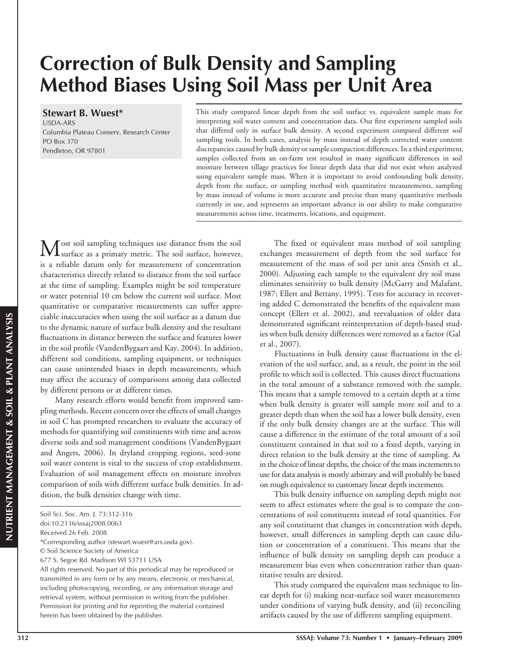# **Correction of Bulk Density and Sampling Method Biases Using Soil Mass per Unit Area**

**Stewart B. Wuest\***

USDA-ARS Columbia Plateau Conserv. Research Center PO Box 370 Pendleton, OR 97801

This study compared linear depth from the soil surface vs. equivalent sample mass for interpreting soil water content and concentration data. Our first experiment sampled soils that differed only in surface bulk density. A second experiment compared different soil sampling tools. In both cases, analysis by mass instead of depth corrected water content discrepancies caused by bulk density or sample compaction differences. In a third experiment, samples collected from an on-farm test resulted in many significant differences in soil moisture between tillage practices for linear depth data that did not exist when analyzed using equivalent sample mass. When it is important to avoid confounding bulk density, depth from the surface, or sampling method with quantitative measurements, sampling by mass instead of volume is more accurate and precise than many quantitative methods currently in use, and represents an important advance in our ability to make comparative measurements across time, treatments, locations, and equipment.

Most soil sampling techniques use distance from the soil<br>surface as a primary metric. The soil surface, however, is a reliable datum only for measurement of concentration characteristics directly related to distance from the soil surface at the time of sampling. Examples might be soil temperature or water potential 10 cm below the current soil surface. Most quantitative or comparative measurements can suffer appreciable inaccuracies when using the soil surface as a datum due to the dynamic nature of surface bulk density and the resultant fluctuations in distance between the surface and features lower in the soil profile (VandenBygaart and Kay, 2004). In addition, different soil conditions, sampling equipment, or techniques can cause unintended biases in depth measurements, which may affect the accuracy of comparisons among data collected by different persons or at different times.

Many research efforts would benefit from improved sampling methods. Recent concern over the effects of small changes in soil C has prompted researchers to evaluate the accuracy of methods for quantifying soil constituents with time and across diverse soils and soil management conditions (VandenBygaart and Angers, 2006). In dryland cropping regions, seed-zone soil water content is vital to the success of crop establishment. Evaluation of soil management effects on moisture involves comparison of soils with different surface bulk densities. In addition, the bulk densities change with time.

Received 26 Feb. 2008.

\*Corresponding author (stewart.wuest@ars.usda.gov). © Soil Science Society of America

677 S. Segoe Rd. Madison WI 53711 USA

All rights reserved. No part of this periodical may be reproduced or transmitted in any form or by any means, electronic or mechanical, including photocopying, recording, or any information storage and retrieval system, without permission in writing from the publisher. Permission for printing and for reprinting the material contained herein has been obtained by the publisher.

The fixed or equivalent mass method of soil sampling exchanges measurement of depth from the soil surface for measurement of the mass of soil per unit area (Smith et al., 2000). Adjusting each sample to the equivalent dry soil mass eliminates sensitivity to bulk density (McGarry and Malafant, 1987; Ellert and Bettany, 1995). Tests for accuracy in recovering added C demonstrated the benefits of the equivalent mass concept (Ellert et al. 2002), and reevaluation of older data demonstrated significant reinterpretation of depth-based studies when bulk density differences were removed as a factor (Gal et al., 2007).

Fluctuations in bulk density cause fluctuations in the elevation of the soil surface, and, as a result, the point in the soil profile to which soil is collected. This causes direct fluctuations in the total amount of a substance removed with the sample. This means that a sample removed to a certain depth at a time when bulk density is greater will sample more soil and to a greater depth than when the soil has a lower bulk density, even if the only bulk density changes are at the surface. This will cause a difference in the estimate of the total amount of a soil constituent contained in that soil to a fixed depth, varying in direct relation to the bulk density at the time of sampling. As in the choice of linear depths, the choice of the mass increments to use for data analysis is mostly arbitrary and will probably be based on rough equivalence to customary linear depth increments.

This bulk density influence on sampling depth might not seem to affect estimates where the goal is to compare the concentrations of soil constituents instead of total quantities. For any soil constituent that changes in concentration with depth, however, small differences in sampling depth can cause dilution or concentration of a constituent. This means that the influence of bulk density on sampling depth can produce a measurement bias even when concentration rather than quantitative results are desired.

This study compared the equivalent mass technique to linear depth for (i) making near-surface soil water measurements under conditions of varying bulk density, and (ii) reconciling artifacts caused by the use of different sampling equipment.

Soil Sci. Soc. Am. J. 73:312-316

doi:10.2136/sssaj2008.0063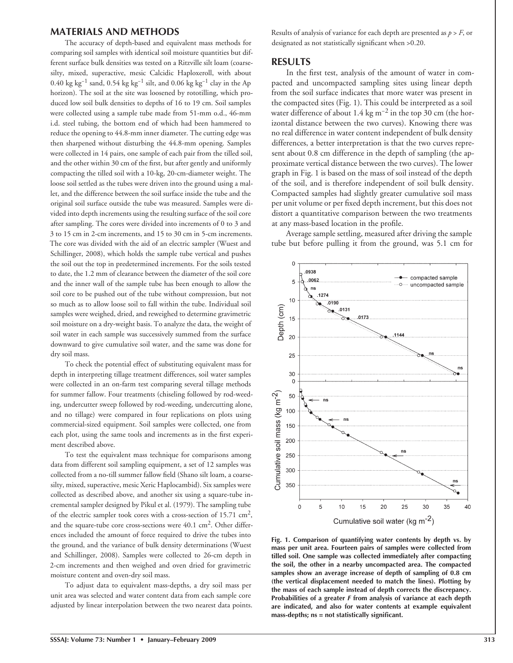#### **MATERIALS AND METHODS**

The accuracy of depth-based and equivalent mass methods for comparing soil samples with identical soil moisture quantities but different surface bulk densities was tested on a Ritzville silt loam (coarsesilty, mixed, superactive, mesic Calcidic Haploxeroll, with about 0.40 kg kg−1 sand, 0.54 kg kg−1 silt, and 0.06 kg kg−1 clay in the Ap horizon). The soil at the site was loosened by rototilling, which produced low soil bulk densities to depths of 16 to 19 cm. Soil samples were collected using a sample tube made from 51-mm o.d., 46-mm i.d. steel tubing, the bottom end of which had been hammered to reduce the opening to 44.8-mm inner diameter. The cutting edge was then sharpened without disturbing the 44.8-mm opening. Samples were collected in 14 pairs, one sample of each pair from the tilled soil, and the other within 30 cm of the first, but after gently and uniformly compacting the tilled soil with a 10-kg, 20-cm-diameter weight. The loose soil settled as the tubes were driven into the ground using a mallet, and the difference between the soil surface inside the tube and the original soil surface outside the tube was measured. Samples were divided into depth increments using the resulting surface of the soil core after sampling. The cores were divided into increments of 0 to 3 and 3 to 15 cm in 2-cm increments, and 15 to 30 cm in 5-cm increments. The core was divided with the aid of an electric sampler (Wuest and Schillinger, 2008), which holds the sample tube vertical and pushes the soil out the top in predetermined increments. For the soils tested to date, the 1.2 mm of clearance between the diameter of the soil core and the inner wall of the sample tube has been enough to allow the soil core to be pushed out of the tube without compression, but not so much as to allow loose soil to fall within the tube. Individual soil samples were weighed, dried, and reweighed to determine gravimetric soil moisture on a dry-weight basis. To analyze the data, the weight of soil water in each sample was successively summed from the surface downward to give cumulative soil water, and the same was done for dry soil mass.

To check the potential effect of substituting equivalent mass for depth in interpreting tillage treatment differences, soil water samples were collected in an on-farm test comparing several tillage methods for summer fallow. Four treatments (chiseling followed by rod-weeding, undercutter sweep followed by rod-weeding, undercutting alone, and no tillage) were compared in four replications on plots using commercial-sized equipment. Soil samples were collected, one from each plot, using the same tools and increments as in the first experiment described above.

To test the equivalent mass technique for comparisons among data from different soil sampling equipment, a set of 12 samples was collected from a no-till summer fallow field (Shano silt loam, a coarsesilty, mixed, superactive, mesic Xeric Haplocambid). Six samples were collected as described above, and another six using a square-tube incremental sampler designed by Pikul et al. (1979). The sampling tube of the electric sampler took cores with a cross-section of  $15.71 \text{ cm}^2$ , and the square-tube core cross-sections were  $40.1 \text{ cm}^2$ . Other differences included the amount of force required to drive the tubes into the ground, and the variance of bulk density determinations (Wuest and Schillinger, 2008). Samples were collected to 26-cm depth in 2-cm increments and then weighed and oven dried for gravimetric moisture content and oven-dry soil mass.

To adjust data to equivalent mass-depths, a dry soil mass per unit area was selected and water content data from each sample core adjusted by linear interpolation between the two nearest data points. Results of analysis of variance for each depth are presented as  $p > F$ , or designated as not statistically significant when >0.20.

#### **RESULTS**

In the first test, analysis of the amount of water in compacted and uncompacted sampling sites using linear depth from the soil surface indicates that more water was present in the compacted sites (Fig. 1). This could be interpreted as a soil water difference of about 1.4 kg m<sup>-2</sup> in the top 30 cm (the horizontal distance between the two curves). Knowing there was no real difference in water content independent of bulk density differences, a better interpretation is that the two curves represent about 0.8 cm difference in the depth of sampling (the approximate vertical distance between the two curves). The lower graph in Fig. 1 is based on the mass of soil instead of the depth of the soil, and is therefore independent of soil bulk density. Compacted samples had slightly greater cumulative soil mass per unit volume or per fixed depth increment, but this does not distort a quantitative comparison between the two treatments at any mass-based location in the profile.

Average sample settling, measured after driving the sample tube but before pulling it from the ground, was 5.1 cm for



**Fig. 1. Comparison of quantifying water contents by depth vs. by mass per unit area. Fourteen pairs of samples were collected from tilled soil. One sample was collected immediately after compacting the soil, the other in a nearby uncompacted area. The compacted samples show an average increase of depth of sampling of 0.8 cm (the vertical displacement needed to match the lines). Plotting by the mass of each sample instead of depth corrects the discrepancy. Probabilities of a greater** *F* **from analysis of variance at each depth are indicated, and also for water contents at example equivalent**  mass-depths;  $ns = not statistically significant.$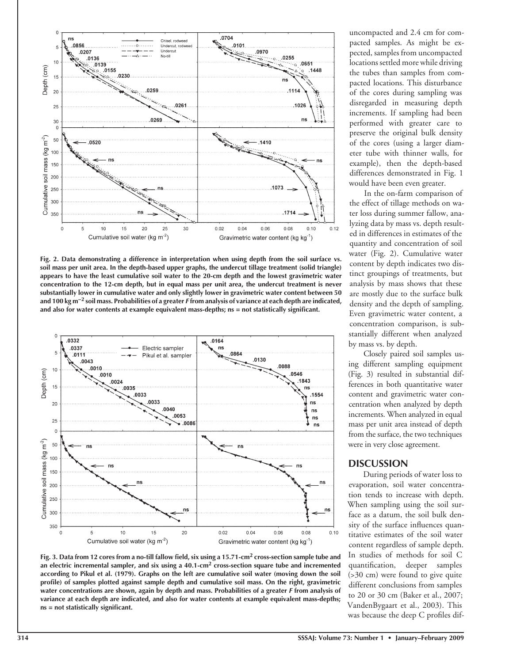

**Fig. 2. Data demonstrating a difference in interpretation when using depth from the soil surface vs. soil mass per unit area. In the depth-based upper graphs, the undercut tillage treatment (solid triangle) appears to have the least cumulative soil water to the 20-cm depth and the lowest gravimetric water concentration to the 12-cm depth, but in equal mass per unit area, the undercut treatment is never substantially lower in cumulative water and only slightly lower in gravimetric water content between 50 and 100 kg m−2 soil mass. Probabilities of a greater** *F* **from analysis of variance at each depth are indicated,**  and also for water contents at example equivalent mass-depths; ns = not statistically significant.



uncompacted and 2.4 cm for compacted samples. As might be expected, samples from uncompacted locations settled more while driving the tubes than samples from compacted locations. This disturbance of the cores during sampling was disregarded in measuring depth increments. If sampling had been performed with greater care to preserve the original bulk density of the cores (using a larger diameter tube with thinner walls, for example), then the depth-based differences demonstrated in Fig. 1 would have been even greater.

In the on-farm comparison of the effect of tillage methods on water loss during summer fallow, analyzing data by mass vs. depth resulted in differences in estimates of the quantity and concentration of soil water (Fig. 2). Cumulative water content by depth indicates two distinct groupings of treatments, but analysis by mass shows that these are mostly due to the surface bulk density and the depth of sampling. Even gravimetric water content, a concentration comparison, is substantially different when analyzed by mass vs. by depth.

Closely paired soil samples using different sampling equipment (Fig. 3) resulted in substantial differences in both quantitative water content and gravimetric water concentration when analyzed by depth increments. When analyzed in equal mass per unit area instead of depth from the surface, the two techniques were in very close agreement.

## **DISCUSSION**

During periods of water loss to evaporation, soil water concentration tends to increase with depth. When sampling using the soil surface as a datum, the soil bulk density of the surface influences quantitative estimates of the soil water content regardless of sample depth. In studies of methods for soil C quantification, deeper samples (>30 cm) were found to give quite different conclusions from samples to 20 or 30 cm (Baker et al., 2007; VandenBygaart et al., 2003). This was because the deep C profiles dif-

Fig. 3. Data from 12 cores from a no-till fallow field, six using a 15.71-cm<sup>2</sup> cross-section sample tube and **an electric incremental sampler, and six using a 40.1-cm2 cross-section square tube and incremented according to Pikul et al. (1979). Graphs on the left are cumulative soil water (moving down the soil profi le) of samples plotted against sample depth and cumulative soil mass. On the right, gravimetric water concentrations are shown, again by depth and mass. Probabilities of a greater** *F* **from analysis of variance at each depth are indicated, and also for water contents at example equivalent mass-depths;**   $ns = not statistically significant.$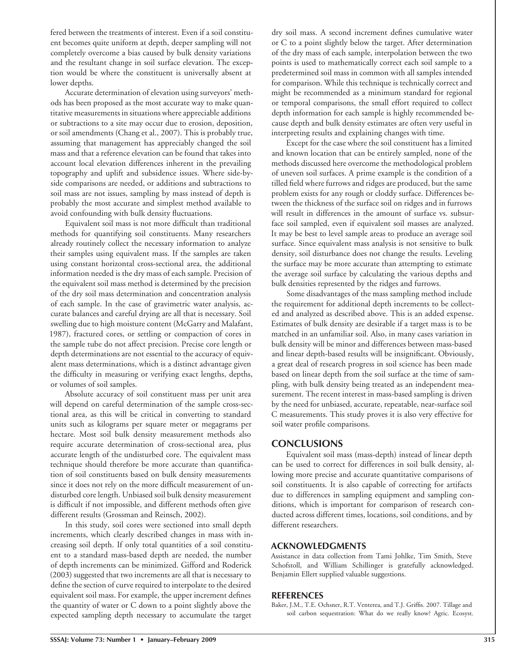fered between the treatments of interest. Even if a soil constituent becomes quite uniform at depth, deeper sampling will not completely overcome a bias caused by bulk density variations and the resultant change in soil surface elevation. The exception would be where the constituent is universally absent at lower depths.

Accurate determination of elevation using surveyors' methods has been proposed as the most accurate way to make quantitative measurements in situations where appreciable additions or subtractions to a site may occur due to erosion, deposition, or soil amendments (Chang et al., 2007). This is probably true, assuming that management has appreciably changed the soil mass and that a reference elevation can be found that takes into account local elevation differences inherent in the prevailing topography and uplift and subsidence issues. Where side-byside comparisons are needed, or additions and subtractions to soil mass are not issues, sampling by mass instead of depth is probably the most accurate and simplest method available to avoid confounding with bulk density fluctuations.

Equivalent soil mass is not more difficult than traditional methods for quantifying soil constituents. Many researchers already routinely collect the necessary information to analyze their samples using equivalent mass. If the samples are taken using constant horizontal cross-sectional area, the additional information needed is the dry mass of each sample. Precision of the equivalent soil mass method is determined by the precision of the dry soil mass determination and concentration analysis of each sample. In the case of gravimetric water analysis, accurate balances and careful drying are all that is necessary. Soil swelling due to high moisture content (McGarry and Malafant, 1987), fractured cores, or settling or compaction of cores in the sample tube do not affect precision. Precise core length or depth determinations are not essential to the accuracy of equivalent mass determinations, which is a distinct advantage given the difficulty in measuring or verifying exact lengths, depths, or volumes of soil samples.

Absolute accuracy of soil constituent mass per unit area will depend on careful determination of the sample cross-sectional area, as this will be critical in converting to standard units such as kilograms per square meter or megagrams per hectare. Most soil bulk density measurement methods also require accurate determination of cross-sectional area, plus accurate length of the undisturbed core. The equivalent mass technique should therefore be more accurate than quantification of soil constituents based on bulk density measurements since it does not rely on the more difficult measurement of undisturbed core length. Unbiased soil bulk density measurement is difficult if not impossible, and different methods often give different results (Grossman and Reinsch, 2002).

In this study, soil cores were sectioned into small depth increments, which clearly described changes in mass with increasing soil depth. If only total quantities of a soil constituent to a standard mass-based depth are needed, the number of depth increments can be minimized. Gifford and Roderick (2003) suggested that two increments are all that is necessary to define the section of curve required to interpolate to the desired equivalent soil mass. For example, the upper increment defines the quantity of water or C down to a point slightly above the expected sampling depth necessary to accumulate the target

dry soil mass. A second increment defines cumulative water or C to a point slightly below the target. After determination of the dry mass of each sample, interpolation between the two points is used to mathematically correct each soil sample to a predetermined soil mass in common with all samples intended for comparison. While this technique is technically correct and might be recommended as a minimum standard for regional or temporal comparisons, the small effort required to collect depth information for each sample is highly recommended because depth and bulk density estimates are often very useful in interpreting results and explaining changes with time.

Except for the case where the soil constituent has a limited and known location that can be entirely sampled, none of the methods discussed here overcome the methodological problem of uneven soil surfaces. A prime example is the condition of a tilled field where furrows and ridges are produced, but the same problem exists for any rough or cloddy surface. Differences between the thickness of the surface soil on ridges and in furrows will result in differences in the amount of surface vs. subsurface soil sampled, even if equivalent soil masses are analyzed. It may be best to level sample areas to produce an average soil surface. Since equivalent mass analysis is not sensitive to bulk density, soil disturbance does not change the results. Leveling the surface may be more accurate than attempting to estimate the average soil surface by calculating the various depths and bulk densities represented by the ridges and furrows.

Some disadvantages of the mass sampling method include the requirement for additional depth increments to be collected and analyzed as described above. This is an added expense. Estimates of bulk density are desirable if a target mass is to be matched in an unfamiliar soil. Also, in many cases variation in bulk density will be minor and differences between mass-based and linear depth-based results will be insignificant. Obviously, a great deal of research progress in soil science has been made based on linear depth from the soil surface at the time of sampling, with bulk density being treated as an independent measurement. The recent interest in mass-based sampling is driven by the need for unbiased, accurate, repeatable, near-surface soil C measurements. This study proves it is also very effective for soil water profile comparisons.

## **CONCLUSIONS**

Equivalent soil mass (mass-depth) instead of linear depth can be used to correct for differences in soil bulk density, allowing more precise and accurate quantitative comparisons of soil constituents. It is also capable of correcting for artifacts due to differences in sampling equipment and sampling conditions, which is important for comparison of research conducted across different times, locations, soil conditions, and by different researchers.

## **ACKNOWLEDGMENTS**

Assistance in data collection from Tami Johlke, Tim Smith, Steve Schofstoll, and William Schillinger is gratefully acknowledged. Benjamin Ellert supplied valuable suggestions.

#### **REFERENCES**

Baker, J.M., T.E. Ochsner, R.T. Venterea, and T.J. Griffis. 2007. Tillage and soil carbon sequestration: What do we really know? Agric. Ecosyst.